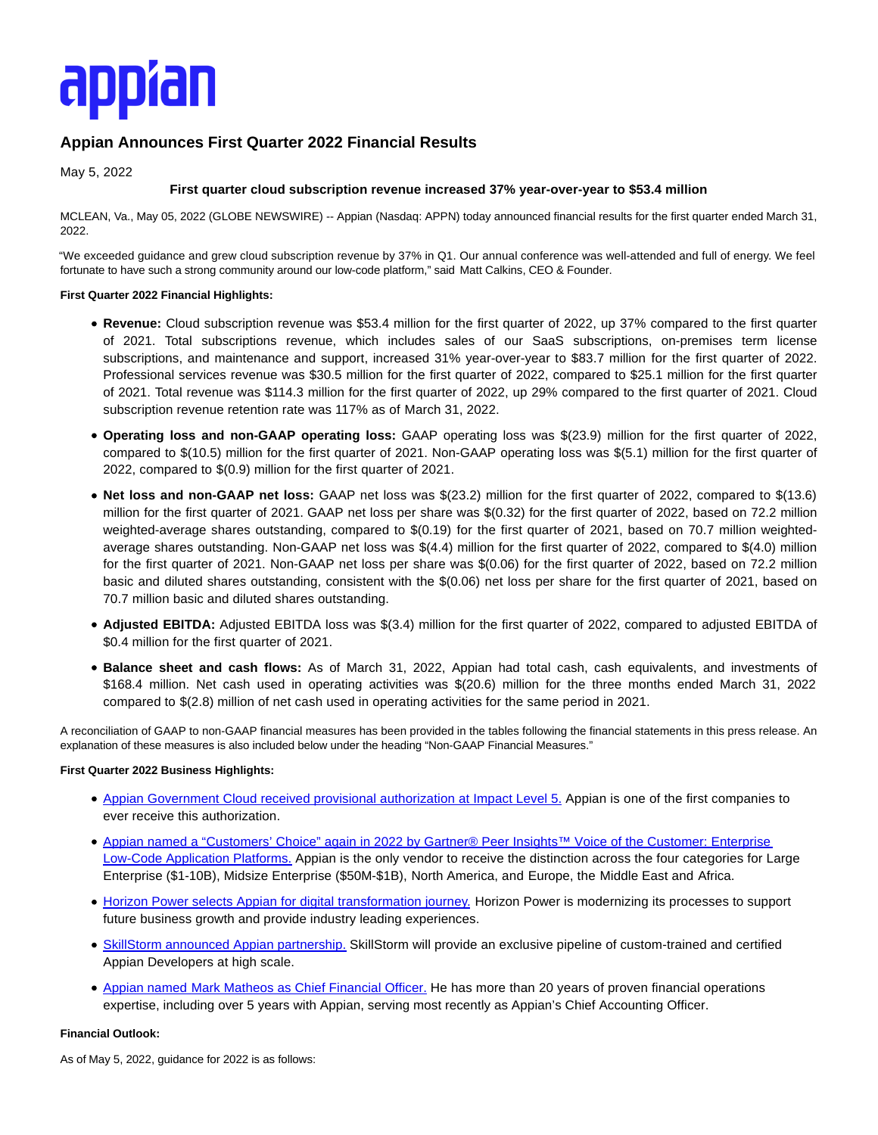

# **Appian Announces First Quarter 2022 Financial Results**

May 5, 2022

## **First quarter cloud subscription revenue increased 37% year-over-year to \$53.4 million**

MCLEAN, Va., May 05, 2022 (GLOBE NEWSWIRE) -- Appian (Nasdaq: APPN) today announced financial results for the first quarter ended March 31, 2022.

"We exceeded guidance and grew cloud subscription revenue by 37% in Q1. Our annual conference was well-attended and full of energy. We feel fortunate to have such a strong community around our low-code platform," said Matt Calkins, CEO & Founder.

#### **First Quarter 2022 Financial Highlights:**

- **Revenue:** Cloud subscription revenue was \$53.4 million for the first quarter of 2022, up 37% compared to the first quarter of 2021. Total subscriptions revenue, which includes sales of our SaaS subscriptions, on-premises term license subscriptions, and maintenance and support, increased 31% year-over-year to \$83.7 million for the first quarter of 2022. Professional services revenue was \$30.5 million for the first quarter of 2022, compared to \$25.1 million for the first quarter of 2021. Total revenue was \$114.3 million for the first quarter of 2022, up 29% compared to the first quarter of 2021. Cloud subscription revenue retention rate was 117% as of March 31, 2022.
- **Operating loss and non-GAAP operating loss:** GAAP operating loss was \$(23.9) million for the first quarter of 2022, compared to \$(10.5) million for the first quarter of 2021. Non-GAAP operating loss was \$(5.1) million for the first quarter of 2022, compared to \$(0.9) million for the first quarter of 2021.
- **Net loss and non-GAAP net loss:** GAAP net loss was \$(23.2) million for the first quarter of 2022, compared to \$(13.6) million for the first quarter of 2021. GAAP net loss per share was \$(0.32) for the first quarter of 2022, based on 72.2 million weighted-average shares outstanding, compared to \$(0.19) for the first quarter of 2021, based on 70.7 million weightedaverage shares outstanding. Non-GAAP net loss was \$(4.4) million for the first quarter of 2022, compared to \$(4.0) million for the first quarter of 2021. Non-GAAP net loss per share was \$(0.06) for the first quarter of 2022, based on 72.2 million basic and diluted shares outstanding, consistent with the \$(0.06) net loss per share for the first quarter of 2021, based on 70.7 million basic and diluted shares outstanding.
- **Adjusted EBITDA:** Adjusted EBITDA loss was \$(3.4) million for the first quarter of 2022, compared to adjusted EBITDA of \$0.4 million for the first quarter of 2021.
- **Balance sheet and cash flows:** As of March 31, 2022, Appian had total cash, cash equivalents, and investments of \$168.4 million. Net cash used in operating activities was \$(20.6) million for the three months ended March 31, 2022 compared to \$(2.8) million of net cash used in operating activities for the same period in 2021.

A reconciliation of GAAP to non-GAAP financial measures has been provided in the tables following the financial statements in this press release. An explanation of these measures is also included below under the heading "Non-GAAP Financial Measures."

#### **First Quarter 2022 Business Highlights:**

- [Appian Government Cloud received provisional authorization at Impact Level 5. A](http://appian.com/resources/newsroom/press-releases/2022/appian-government-cloud-receives-provisional-authorization--at-i.html)ppian is one of the first companies to ever receive this authorization.
- [Appian named a "Customers' Choice" again in 2022 by Gartner® Peer Insights™ Voice of the Customer: Enterprise](http://appian.com/resources/newsroom/press-releases/2022/appian-named-a--customers--choice--again-in-2022-gartner--peer-i.html) Low-Code Application Platforms. Appian is the only vendor to receive the distinction across the four categories for Large Enterprise (\$1-10B), Midsize Enterprise (\$50M-\$1B), North America, and Europe, the Middle East and Africa.
- [Horizon Power selects Appian for digital transformation journey.](http://appian.com/resources/newsroom/press-releases/2022/horizon-power-selects-appian-for-digital-transformation-journey.html) Horizon Power is modernizing its processes to support future business growth and provide industry leading experiences.
- · [SkillStorm announced Appian partnership.](http://appian.com/resources/newsroom/press-releases/2022/skillstorm-announces-appian-partnership.html) SkillStorm will provide an exclusive pipeline of custom-trained and certified Appian Developers at high scale.
- [Appian named Mark Matheos as Chief Financial Officer. H](http://appian.com/resources/newsroom/press-releases/2022/appian-names-mark-matheos-as-chief-financial-officer.html)e has more than 20 years of proven financial operations expertise, including over 5 years with Appian, serving most recently as Appian's Chief Accounting Officer.

## **Financial Outlook:**

As of May 5, 2022, guidance for 2022 is as follows: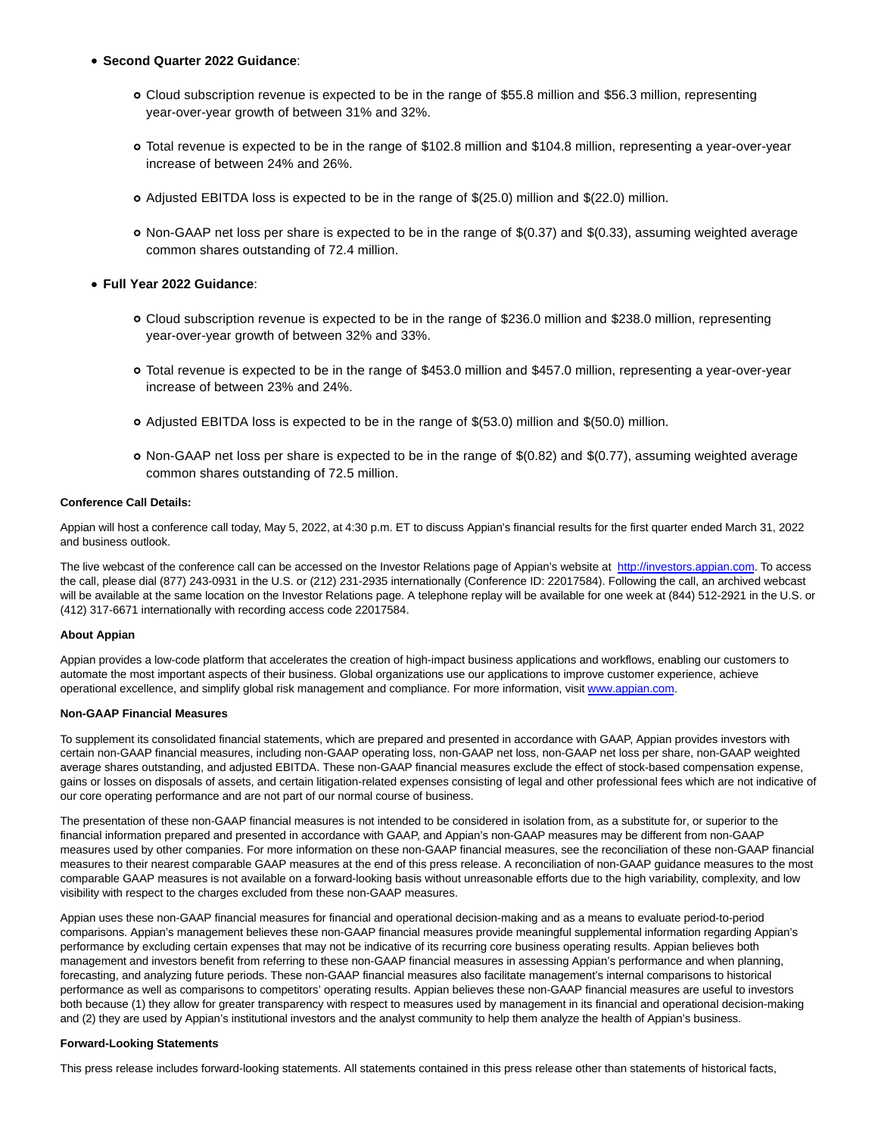### **Second Quarter 2022 Guidance**:

- Cloud subscription revenue is expected to be in the range of \$55.8 million and \$56.3 million, representing year-over-year growth of between 31% and 32%.
- Total revenue is expected to be in the range of \$102.8 million and \$104.8 million, representing a year-over-year increase of between 24% and 26%.
- Adjusted EBITDA loss is expected to be in the range of \$(25.0) million and \$(22.0) million.
- Non-GAAP net loss per share is expected to be in the range of \$(0.37) and \$(0.33), assuming weighted average common shares outstanding of 72.4 million.

## **Full Year 2022 Guidance**:

- Cloud subscription revenue is expected to be in the range of \$236.0 million and \$238.0 million, representing year-over-year growth of between 32% and 33%.
- Total revenue is expected to be in the range of \$453.0 million and \$457.0 million, representing a year-over-year increase of between 23% and 24%.
- Adjusted EBITDA loss is expected to be in the range of \$(53.0) million and \$(50.0) million.
- Non-GAAP net loss per share is expected to be in the range of \$(0.82) and \$(0.77), assuming weighted average common shares outstanding of 72.5 million.

#### **Conference Call Details:**

Appian will host a conference call today, May 5, 2022, at 4:30 p.m. ET to discuss Appian's financial results for the first quarter ended March 31, 2022 and business outlook.

The live webcast of the conference call can be accessed on the Investor Relations page of Appian's website at [http://investors.appian.com.](http://investors.appian.com/) To access the call, please dial (877) 243-0931 in the U.S. or (212) 231-2935 internationally (Conference ID: 22017584). Following the call, an archived webcast will be available at the same location on the Investor Relations page. A telephone replay will be available for one week at (844) 512-2921 in the U.S. or (412) 317-6671 internationally with recording access code 22017584.

#### **About Appian**

Appian provides a low-code platform that accelerates the creation of high-impact business applications and workflows, enabling our customers to automate the most important aspects of their business. Global organizations use our applications to improve customer experience, achieve operational excellence, and simplify global risk management and compliance. For more information, visit [www.appian.com.](http://www.appian.com/)

#### **Non-GAAP Financial Measures**

To supplement its consolidated financial statements, which are prepared and presented in accordance with GAAP, Appian provides investors with certain non-GAAP financial measures, including non-GAAP operating loss, non-GAAP net loss, non-GAAP net loss per share, non-GAAP weighted average shares outstanding, and adjusted EBITDA. These non-GAAP financial measures exclude the effect of stock-based compensation expense, gains or losses on disposals of assets, and certain litigation-related expenses consisting of legal and other professional fees which are not indicative of our core operating performance and are not part of our normal course of business.

The presentation of these non-GAAP financial measures is not intended to be considered in isolation from, as a substitute for, or superior to the financial information prepared and presented in accordance with GAAP, and Appian's non-GAAP measures may be different from non-GAAP measures used by other companies. For more information on these non-GAAP financial measures, see the reconciliation of these non-GAAP financial measures to their nearest comparable GAAP measures at the end of this press release. A reconciliation of non-GAAP guidance measures to the most comparable GAAP measures is not available on a forward-looking basis without unreasonable efforts due to the high variability, complexity, and low visibility with respect to the charges excluded from these non-GAAP measures.

Appian uses these non-GAAP financial measures for financial and operational decision-making and as a means to evaluate period-to-period comparisons. Appian's management believes these non-GAAP financial measures provide meaningful supplemental information regarding Appian's performance by excluding certain expenses that may not be indicative of its recurring core business operating results. Appian believes both management and investors benefit from referring to these non-GAAP financial measures in assessing Appian's performance and when planning, forecasting, and analyzing future periods. These non-GAAP financial measures also facilitate management's internal comparisons to historical performance as well as comparisons to competitors' operating results. Appian believes these non-GAAP financial measures are useful to investors both because (1) they allow for greater transparency with respect to measures used by management in its financial and operational decision-making and (2) they are used by Appian's institutional investors and the analyst community to help them analyze the health of Appian's business.

#### **Forward-Looking Statements**

This press release includes forward-looking statements. All statements contained in this press release other than statements of historical facts,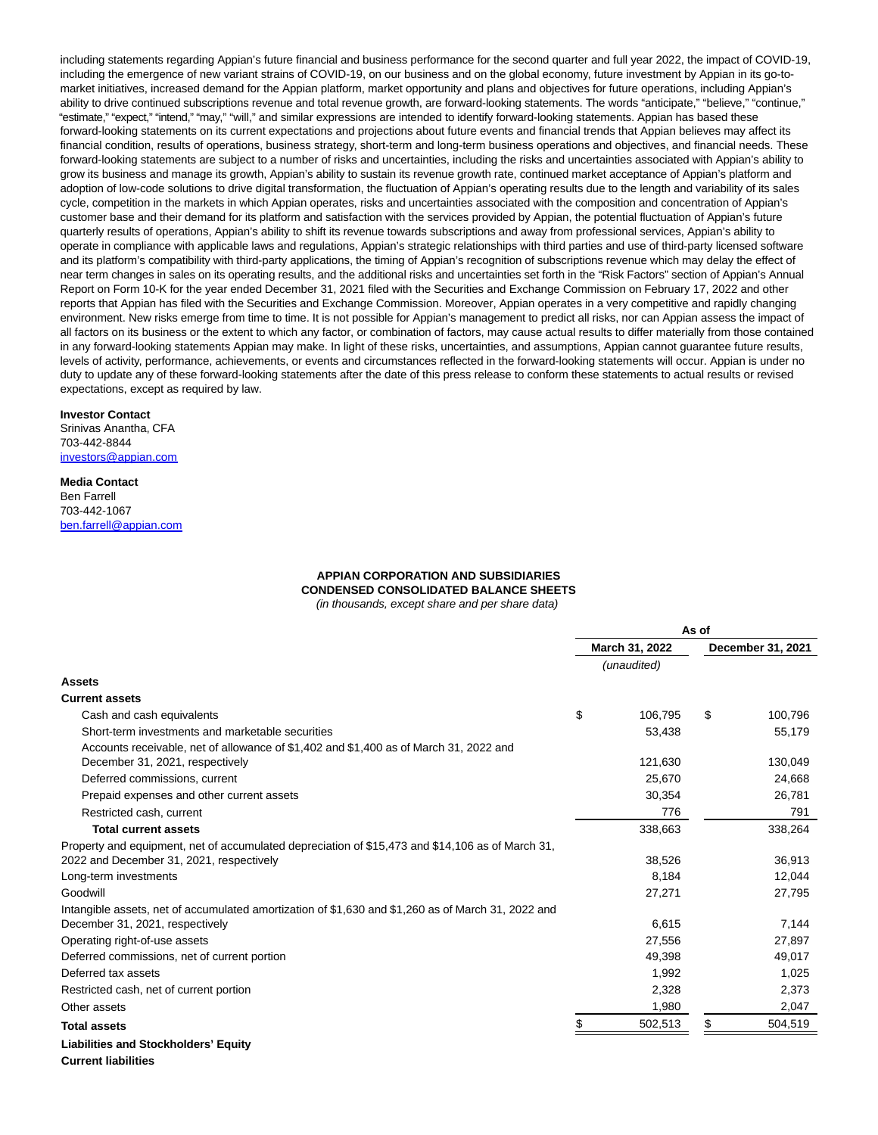including statements regarding Appian's future financial and business performance for the second quarter and full year 2022, the impact of COVID-19, including the emergence of new variant strains of COVID-19, on our business and on the global economy, future investment by Appian in its go-tomarket initiatives, increased demand for the Appian platform, market opportunity and plans and objectives for future operations, including Appian's ability to drive continued subscriptions revenue and total revenue growth, are forward-looking statements. The words "anticipate," "believe," "continue," "estimate," "expect," "intend," "may," "will," and similar expressions are intended to identify forward-looking statements. Appian has based these forward-looking statements on its current expectations and projections about future events and financial trends that Appian believes may affect its financial condition, results of operations, business strategy, short-term and long-term business operations and objectives, and financial needs. These forward-looking statements are subject to a number of risks and uncertainties, including the risks and uncertainties associated with Appian's ability to grow its business and manage its growth, Appian's ability to sustain its revenue growth rate, continued market acceptance of Appian's platform and adoption of low-code solutions to drive digital transformation, the fluctuation of Appian's operating results due to the length and variability of its sales cycle, competition in the markets in which Appian operates, risks and uncertainties associated with the composition and concentration of Appian's customer base and their demand for its platform and satisfaction with the services provided by Appian, the potential fluctuation of Appian's future quarterly results of operations, Appian's ability to shift its revenue towards subscriptions and away from professional services, Appian's ability to operate in compliance with applicable laws and regulations, Appian's strategic relationships with third parties and use of third-party licensed software and its platform's compatibility with third-party applications, the timing of Appian's recognition of subscriptions revenue which may delay the effect of near term changes in sales on its operating results, and the additional risks and uncertainties set forth in the "Risk Factors" section of Appian's Annual Report on Form 10-K for the year ended December 31, 2021 filed with the Securities and Exchange Commission on February 17, 2022 and other reports that Appian has filed with the Securities and Exchange Commission. Moreover, Appian operates in a very competitive and rapidly changing environment. New risks emerge from time to time. It is not possible for Appian's management to predict all risks, nor can Appian assess the impact of all factors on its business or the extent to which any factor, or combination of factors, may cause actual results to differ materially from those contained in any forward-looking statements Appian may make. In light of these risks, uncertainties, and assumptions, Appian cannot guarantee future results, levels of activity, performance, achievements, or events and circumstances reflected in the forward-looking statements will occur. Appian is under no duty to update any of these forward-looking statements after the date of this press release to conform these statements to actual results or revised expectations, except as required by law.

#### **Investor Contact**

Srinivas Anantha, CFA 703-442-8844 [investors@appian.com](mailto:investors@appian.com)

## **Media Contact**

Ben Farrell 703-442-1067 [ben.farrell@appian.com](mailto:ben.farrell@appian.com)

#### **APPIAN CORPORATION AND SUBSIDIARIES CONDENSED CONSOLIDATED BALANCE SHEETS**

(in thousands, except share and per share data)

|                                                                                                    | As of |                |    |                   |
|----------------------------------------------------------------------------------------------------|-------|----------------|----|-------------------|
|                                                                                                    |       | March 31, 2022 |    | December 31, 2021 |
|                                                                                                    |       | (unaudited)    |    |                   |
| <b>Assets</b>                                                                                      |       |                |    |                   |
| <b>Current assets</b>                                                                              |       |                |    |                   |
| Cash and cash equivalents                                                                          | \$    | 106,795        | \$ | 100,796           |
| Short-term investments and marketable securities                                                   |       | 53,438         |    | 55,179            |
| Accounts receivable, net of allowance of \$1,402 and \$1,400 as of March 31, 2022 and              |       |                |    |                   |
| December 31, 2021, respectively                                                                    |       | 121,630        |    | 130,049           |
| Deferred commissions, current                                                                      |       | 25,670         |    | 24,668            |
| Prepaid expenses and other current assets                                                          |       | 30,354         |    | 26,781            |
| Restricted cash, current                                                                           |       | 776            |    | 791               |
| <b>Total current assets</b>                                                                        |       | 338,663        |    | 338,264           |
| Property and equipment, net of accumulated depreciation of \$15,473 and \$14,106 as of March 31,   |       |                |    |                   |
| 2022 and December 31, 2021, respectively                                                           |       | 38,526         |    | 36,913            |
| Long-term investments                                                                              |       | 8,184          |    | 12,044            |
| Goodwill                                                                                           |       | 27,271         |    | 27,795            |
| Intangible assets, net of accumulated amortization of \$1,630 and \$1,260 as of March 31, 2022 and |       |                |    |                   |
| December 31, 2021, respectively                                                                    |       | 6,615          |    | 7,144             |
| Operating right-of-use assets                                                                      |       | 27,556         |    | 27,897            |
| Deferred commissions, net of current portion                                                       |       | 49,398         |    | 49,017            |
| Deferred tax assets                                                                                |       | 1,992          |    | 1,025             |
| Restricted cash, net of current portion                                                            |       | 2,328          |    | 2,373             |
| Other assets                                                                                       |       | 1,980          |    | 2,047             |
| <b>Total assets</b>                                                                                |       | 502,513        | \$ | 504,519           |
| <b>Liabilities and Stockholders' Equity</b>                                                        |       |                |    |                   |

**Current liabilities**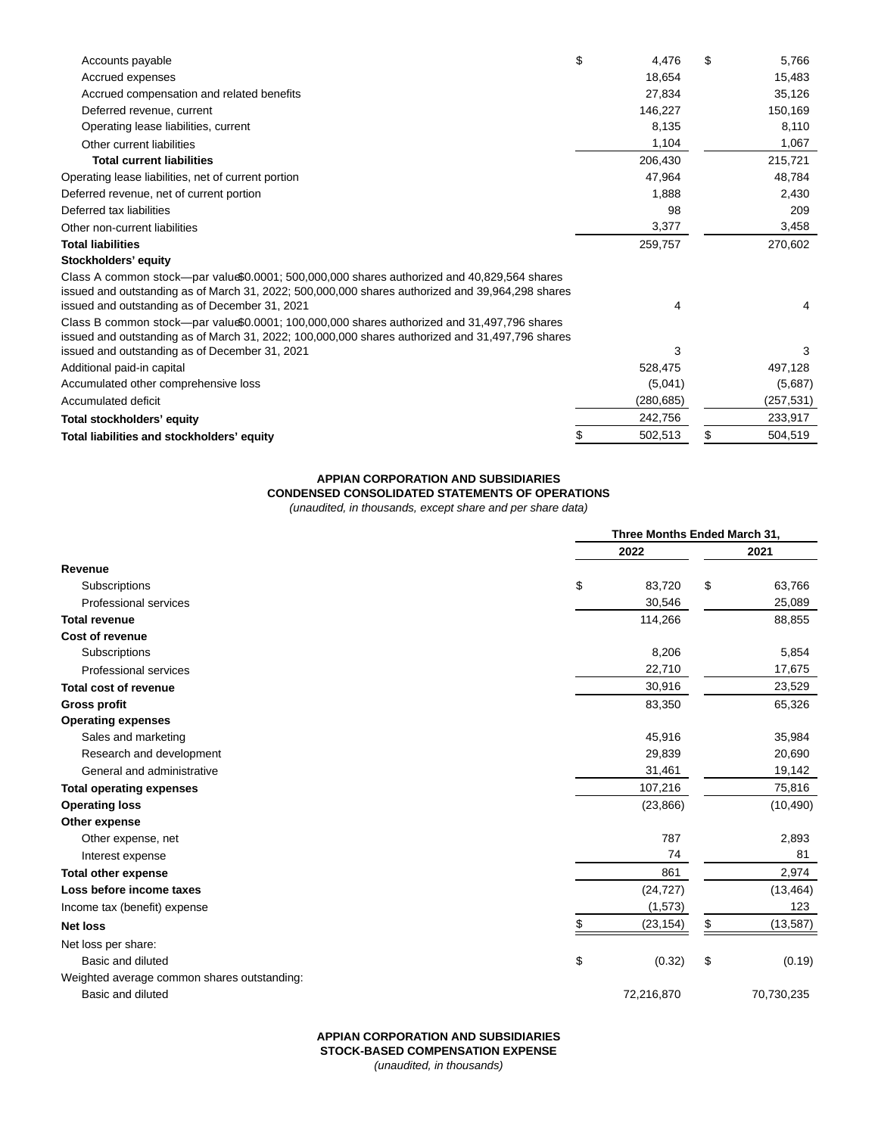| Accounts payable                                                                                                                                                                                                                                 | \$<br>4,476 | \$<br>5,766   |
|--------------------------------------------------------------------------------------------------------------------------------------------------------------------------------------------------------------------------------------------------|-------------|---------------|
| Accrued expenses                                                                                                                                                                                                                                 | 18,654      | 15,483        |
| Accrued compensation and related benefits                                                                                                                                                                                                        | 27,834      | 35,126        |
| Deferred revenue, current                                                                                                                                                                                                                        | 146,227     | 150,169       |
| Operating lease liabilities, current                                                                                                                                                                                                             | 8,135       | 8,110         |
| Other current liabilities                                                                                                                                                                                                                        | 1,104       | 1,067         |
| <b>Total current liabilities</b>                                                                                                                                                                                                                 | 206,430     | 215,721       |
| Operating lease liabilities, net of current portion                                                                                                                                                                                              | 47,964      | 48,784        |
| Deferred revenue, net of current portion                                                                                                                                                                                                         | 1,888       | 2,430         |
| Deferred tax liabilities                                                                                                                                                                                                                         | 98          | 209           |
| Other non-current liabilities                                                                                                                                                                                                                    | 3,377       | 3,458         |
| <b>Total liabilities</b>                                                                                                                                                                                                                         | 259,757     | 270,602       |
| Stockholders' equity                                                                                                                                                                                                                             |             |               |
| Class A common stock—par valus 0.0001; 500,000,000 shares authorized and 40,829,564 shares<br>issued and outstanding as of March 31, 2022; 500,000,000 shares authorized and 39,964,298 shares<br>issued and outstanding as of December 31, 2021 | 4           | 4             |
| Class B common stock—par value\$0.0001; 100,000,000 shares authorized and 31,497,796 shares<br>issued and outstanding as of March 31, 2022; 100,000,000 shares authorized and 31,497,796 shares                                                  |             |               |
| issued and outstanding as of December 31, 2021                                                                                                                                                                                                   | 3           | 3             |
| Additional paid-in capital                                                                                                                                                                                                                       | 528,475     | 497,128       |
| Accumulated other comprehensive loss                                                                                                                                                                                                             | (5,041)     | (5,687)       |
| Accumulated deficit                                                                                                                                                                                                                              | (280, 685)  | (257, 531)    |
| Total stockholders' equity                                                                                                                                                                                                                       | 242,756     | 233,917       |
| Total liabilities and stockholders' equity                                                                                                                                                                                                       | 502,513     | \$<br>504,519 |

## **APPIAN CORPORATION AND SUBSIDIARIES**

**CONDENSED CONSOLIDATED STATEMENTS OF OPERATIONS**

(unaudited, in thousands, except share and per share data)

|                                             | Three Months Ended March 31, |            |    |            |  |
|---------------------------------------------|------------------------------|------------|----|------------|--|
|                                             |                              | 2022       |    | 2021       |  |
| Revenue                                     |                              |            |    |            |  |
| Subscriptions                               | \$                           | 83,720     | \$ | 63,766     |  |
| Professional services                       |                              | 30,546     |    | 25,089     |  |
| <b>Total revenue</b>                        |                              | 114,266    |    | 88,855     |  |
| Cost of revenue                             |                              |            |    |            |  |
| Subscriptions                               |                              | 8,206      |    | 5,854      |  |
| Professional services                       |                              | 22,710     |    | 17,675     |  |
| <b>Total cost of revenue</b>                |                              | 30,916     |    | 23,529     |  |
| <b>Gross profit</b>                         |                              | 83,350     |    | 65,326     |  |
| <b>Operating expenses</b>                   |                              |            |    |            |  |
| Sales and marketing                         |                              | 45,916     |    | 35,984     |  |
| Research and development                    |                              | 29,839     |    | 20,690     |  |
| General and administrative                  |                              | 31,461     |    | 19,142     |  |
| <b>Total operating expenses</b>             |                              | 107,216    |    | 75,816     |  |
| <b>Operating loss</b>                       |                              | (23, 866)  |    | (10, 490)  |  |
| Other expense                               |                              |            |    |            |  |
| Other expense, net                          |                              | 787        |    | 2,893      |  |
| Interest expense                            |                              | 74         |    | 81         |  |
| <b>Total other expense</b>                  |                              | 861        |    | 2,974      |  |
| Loss before income taxes                    |                              | (24, 727)  |    | (13, 464)  |  |
| Income tax (benefit) expense                |                              | (1,573)    |    | 123        |  |
| <b>Net loss</b>                             | \$                           | (23, 154)  | \$ | (13, 587)  |  |
| Net loss per share:                         |                              |            |    |            |  |
| <b>Basic and diluted</b>                    | \$                           | (0.32)     | \$ | (0.19)     |  |
| Weighted average common shares outstanding: |                              |            |    |            |  |
| Basic and diluted                           |                              | 72,216,870 |    | 70,730,235 |  |

**APPIAN CORPORATION AND SUBSIDIARIES**

**STOCK-BASED COMPENSATION EXPENSE**

(unaudited, in thousands)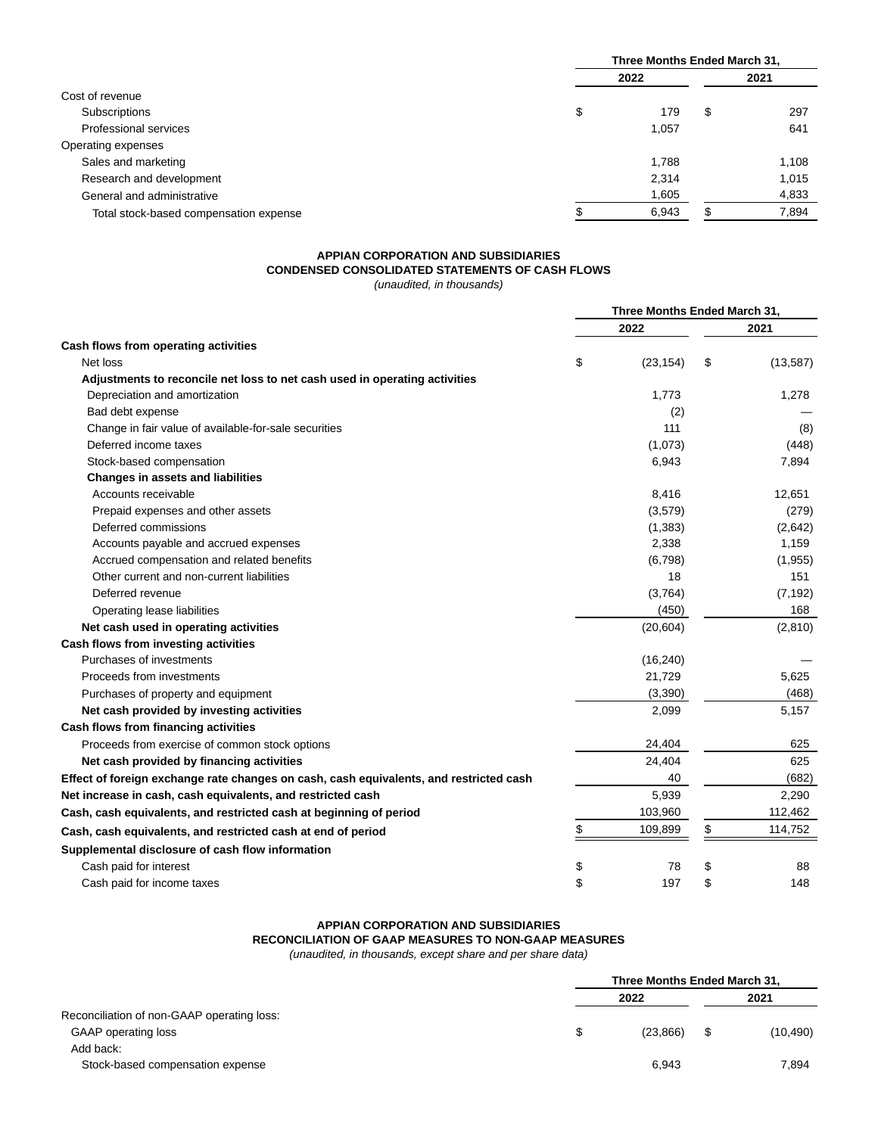|                                        | Three Months Ended March 31, |    |       |  |
|----------------------------------------|------------------------------|----|-------|--|
|                                        | 2022                         |    | 2021  |  |
| Cost of revenue                        |                              |    |       |  |
| Subscriptions                          | \$<br>179                    | \$ | 297   |  |
| Professional services                  | 1,057                        |    | 641   |  |
| Operating expenses                     |                              |    |       |  |
| Sales and marketing                    | 1.788                        |    | 1.108 |  |
| Research and development               | 2,314                        |    | 1,015 |  |
| General and administrative             | 1,605                        |    | 4,833 |  |
| Total stock-based compensation expense | 6,943                        |    | 7,894 |  |

### **APPIAN CORPORATION AND SUBSIDIARIES CONDENSED CONSOLIDATED STATEMENTS OF CASH FLOWS**

(unaudited, in thousands)

|                                                                                        | Three Months Ended March 31, |           |    |           |
|----------------------------------------------------------------------------------------|------------------------------|-----------|----|-----------|
|                                                                                        |                              | 2022      |    | 2021      |
| Cash flows from operating activities                                                   |                              |           |    |           |
| Net loss                                                                               | \$                           | (23, 154) | \$ | (13, 587) |
| Adjustments to reconcile net loss to net cash used in operating activities             |                              |           |    |           |
| Depreciation and amortization                                                          |                              | 1.773     |    | 1,278     |
| Bad debt expense                                                                       |                              | (2)       |    |           |
| Change in fair value of available-for-sale securities                                  |                              | 111       |    | (8)       |
| Deferred income taxes                                                                  |                              | (1,073)   |    | (448)     |
| Stock-based compensation                                                               |                              | 6,943     |    | 7,894     |
| Changes in assets and liabilities                                                      |                              |           |    |           |
| Accounts receivable                                                                    |                              | 8,416     |    | 12,651    |
| Prepaid expenses and other assets                                                      |                              | (3,579)   |    | (279)     |
| Deferred commissions                                                                   |                              | (1, 383)  |    | (2,642)   |
| Accounts payable and accrued expenses                                                  |                              | 2,338     |    | 1,159     |
| Accrued compensation and related benefits                                              |                              | (6,798)   |    | (1,955)   |
| Other current and non-current liabilities                                              |                              | 18        |    | 151       |
| Deferred revenue                                                                       |                              | (3,764)   |    | (7, 192)  |
| Operating lease liabilities                                                            |                              | (450)     |    | 168       |
| Net cash used in operating activities                                                  |                              | (20, 604) |    | (2,810)   |
| Cash flows from investing activities                                                   |                              |           |    |           |
| Purchases of investments                                                               |                              | (16, 240) |    |           |
| Proceeds from investments                                                              |                              | 21,729    |    | 5,625     |
| Purchases of property and equipment                                                    |                              | (3,390)   |    | (468)     |
| Net cash provided by investing activities                                              |                              | 2,099     |    | 5,157     |
| Cash flows from financing activities                                                   |                              |           |    |           |
| Proceeds from exercise of common stock options                                         |                              | 24,404    |    | 625       |
| Net cash provided by financing activities                                              |                              | 24,404    |    | 625       |
| Effect of foreign exchange rate changes on cash, cash equivalents, and restricted cash |                              | 40        |    | (682)     |
| Net increase in cash, cash equivalents, and restricted cash                            |                              | 5,939     |    | 2,290     |
| Cash, cash equivalents, and restricted cash at beginning of period                     |                              | 103,960   |    | 112,462   |
| Cash, cash equivalents, and restricted cash at end of period                           | \$                           | 109,899   | \$ | 114,752   |
| Supplemental disclosure of cash flow information                                       |                              |           |    |           |
| Cash paid for interest                                                                 | \$                           | 78        | \$ | 88        |
| Cash paid for income taxes                                                             | \$                           | 197       | \$ | 148       |

# **APPIAN CORPORATION AND SUBSIDIARIES**

**RECONCILIATION OF GAAP MEASURES TO NON-GAAP MEASURES**

(unaudited, in thousands, except share and per share data)

|                                            | Three Months Ended March 31, |   |          |  |
|--------------------------------------------|------------------------------|---|----------|--|
|                                            | 2022                         |   | 2021     |  |
| Reconciliation of non-GAAP operating loss: |                              |   |          |  |
| GAAP operating loss                        | (23.866)                     | S | (10,490) |  |
| Add back:                                  |                              |   |          |  |
| Stock-based compensation expense           | 6.943                        |   | 7.894    |  |